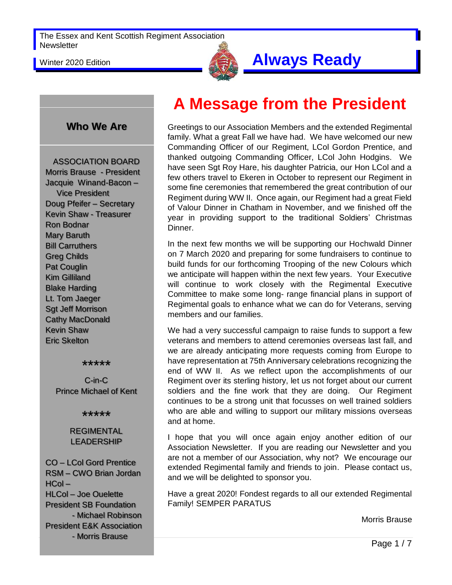

### Winter 2020 Edition **Always Ready**

#### **Who We Are**

ASSOCIATION BOARD Morris Brause - President Jacquie Winand-Bacon – Vice President Doug Pfeifer – Secretary Kevin Shaw - Treasurer Ron Bodnar Mary Baruth Bill Carruthers Greg Childs Pat Couglin Kim Gilliland Blake Harding Lt. Tom Jaeger Sgt Jeff Morrison Cathy MacDonald Kevin Shaw Eric Skelton

#### \*\*\*\*\*

C-in-C Prince Michael of Kent

\*\*\*\*\*

#### REGIMENTAL LEADERSHIP

CO – LCol Gord Prentice RSM – CWO Brian Jordan HCol – HLCol – Joe Ouelette President SB Foundation - Michael Robinson President E&K Association - Morris Brause

# **A Message from the President**

Greetings to our Association Members and the extended Regimental family. What a great Fall we have had. We have welcomed our new Commanding Officer of our Regiment, LCol Gordon Prentice, and thanked outgoing Commanding Officer, LCol John Hodgins. We have seen Sgt Roy Hare, his daughter Patricia, our Hon LCol and a few others travel to Ekeren in October to represent our Regiment in some fine ceremonies that remembered the great contribution of our Regiment during WW II. Once again, our Regiment had a great Field of Valour Dinner in Chatham in November, and we finished off the year in providing support to the traditional Soldiers' Christmas Dinner.

In the next few months we will be supporting our Hochwald Dinner on 7 March 2020 and preparing for some fundraisers to continue to build funds for our forthcoming Trooping of the new Colours which we anticipate will happen within the next few years. Your Executive will continue to work closely with the Regimental Executive Committee to make some long- range financial plans in support of Regimental goals to enhance what we can do for Veterans, serving members and our families.

We had a very successful campaign to raise funds to support a few veterans and members to attend ceremonies overseas last fall, and we are already anticipating more requests coming from Europe to have representation at 75th Anniversary celebrations recognizing the end of WW II. As we reflect upon the accomplishments of our Regiment over its sterling history, let us not forget about our current soldiers and the fine work that they are doing. Our Regiment continues to be a strong unit that focusses on well trained soldiers who are able and willing to support our military missions overseas and at home.

I hope that you will once again enjoy another edition of our Association Newsletter. If you are reading our Newsletter and you are not a member of our Association, why not? We encourage our extended Regimental family and friends to join. Please contact us, and we will be delighted to sponsor you.

Have a great 2020! Fondest regards to all our extended Regimental Family! SEMPER PARATUS

Morris Brause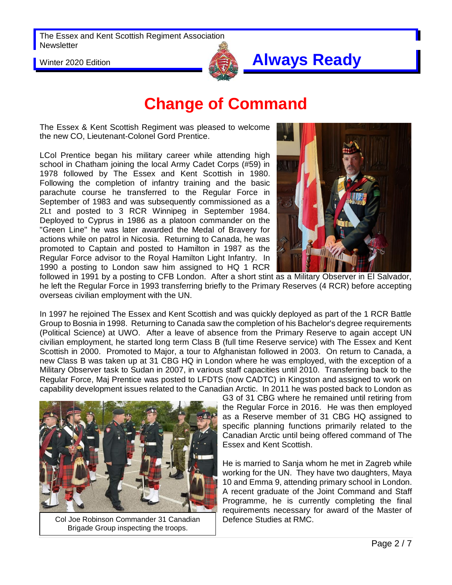

### Winter 2020 Edition **Always Ready**

# **Change of Command**

The Essex & Kent Scottish Regiment was pleased to welcome the new CO, Lieutenant-Colonel Gord Prentice.

LCol Prentice began his military career while attending high school in Chatham joining the local Army Cadet Corps (#59) in 1978 followed by The Essex and Kent Scottish in 1980. Following the completion of infantry training and the basic parachute course he transferred to the Regular Force in September of 1983 and was subsequently commissioned as a 2Lt and posted to 3 RCR Winnipeg in September 1984. Deployed to Cyprus in 1986 as a platoon commander on the "Green Line" he was later awarded the Medal of Bravery for actions while on patrol in Nicosia. Returning to Canada, he was promoted to Captain and posted to Hamilton in 1987 as the Regular Force advisor to the Royal Hamilton Light Infantry. In 1990 a posting to London saw him assigned to HQ 1 RCR



followed in 1991 by a posting to CFB London. After a short stint as a Military Observer in El Salvador, he left the Regular Force in 1993 transferring briefly to the Primary Reserves (4 RCR) before accepting overseas civilian employment with the UN.

In 1997 he rejoined The Essex and Kent Scottish and was quickly deployed as part of the 1 RCR Battle Group to Bosnia in 1998. Returning to Canada saw the completion of his Bachelor's degree requirements (Political Science) at UWO. After a leave of absence from the Primary Reserve to again accept UN civilian employment, he started long term Class B (full time Reserve service) with The Essex and Kent Scottish in 2000. Promoted to Major, a tour to Afghanistan followed in 2003. On return to Canada, a new Class B was taken up at 31 CBG HQ in London where he was employed, with the exception of a Military Observer task to Sudan in 2007, in various staff capacities until 2010. Transferring back to the Regular Force, Maj Prentice was posted to LFDTS (now CADTC) in Kingston and assigned to work on capability development issues related to the Canadian Arctic. In 2011 he was posted back to London as



Col Joe Robinson Commander 31 Canadian | Defence Studies at RMC. Brigade Group inspecting the troops.

G3 of 31 CBG where he remained until retiring from the Regular Force in 2016. He was then employed as a Reserve member of 31 CBG HQ assigned to specific planning functions primarily related to the Canadian Arctic until being offered command of The Essex and Kent Scottish.

He is married to Sanja whom he met in Zagreb while working for the UN. They have two daughters, Maya 10 and Emma 9, attending primary school in London. A recent graduate of the Joint Command and Staff Programme, he is currently completing the final requirements necessary for award of the Master of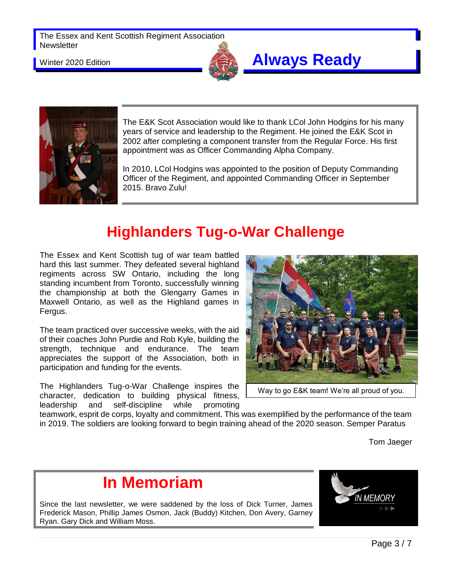

#### Winter 2020 Edition **Always Ready**



The E&K Scot Association would like to thank LCol John Hodgins for his many years of service and leadership to the Regiment. He joined the E&K Scot in 2002 after completing a component transfer from the Regular Force. His first appointment was as Officer Commanding Alpha Company.

In 2010, LCol Hodgins was appointed to the position of Deputy Commanding Officer of the Regiment, and appointed Commanding Officer in September 2015. Bravo Zulu!

## **Highlanders Tug-o-War Challenge**

The Essex and Kent Scottish tug of war team battled hard this last summer. They defeated several highland regiments across SW Ontario, including the long standing incumbent from Toronto, successfully winning the championship at both the Glengarry Games in Maxwell Ontario, as well as the Highland games in Fergus.

The team practiced over successive weeks, with the aid of their coaches John Purdie and Rob Kyle, building the strength, technique and endurance. The team appreciates the support of the Association, both in participation and funding for the events.

The Highlanders Tug-o-War Challenge inspires the character, dedication to building physical fitness, leadership and self-discipline while promoting



Way to go E&K team! We're all proud of you.

teamwork, esprit de corps, loyalty and commitment. This was exemplified by the performance of the team in 2019. The soldiers are looking forward to begin training ahead of the 2020 season. Semper Paratus

Tom Jaeger

## **In Memoriam**

Since the last newsletter, we were saddened by the loss of Dick Turner, James Frederick Mason, Phillip James Osmon, Jack (Buddy) Kitchen, Don Avery, Garney Ryan. Gary Dick and William Moss.

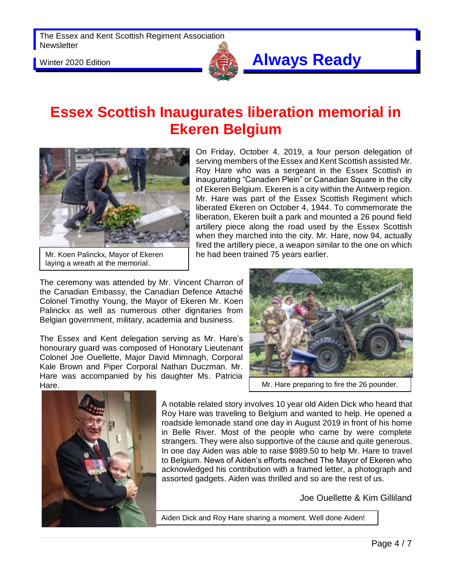

## Winter 2020 Edition **Always Ready**

On Friday, October 4, 2019, a four person delegation of serving members of the Essex and Kent Scottish assisted Mr. Roy Hare who was a sergeant in the Essex Scottish in inaugurating "Canadien Plein" or Canadian Square in the city of Ekeren Belgium. Ekeren is a city within the Antwerp region. Mr. Hare was part of the Essex Scottish Regiment which liberated Ekeren on October 4, 1944. To commemorate the liberation, Ekeren built a park and mounted a 26 pound field artillery piece along the road used by the Essex Scottish when they marched into the city. Mr. Hare, now 94, actually fired the artillery piece, a weapon similar to the one on which

### **Essex Scottish Inaugurates liberation memorial in Ekeren Belgium**



Mr. Koen Palinckx, Mayor of Ekeren laying a wreath at the memorial.

The ceremony was attended by Mr. Vincent Charron of the Canadian Embassy, the Canadian Defence Attaché Colonel Timothy Young, the Mayor of Ekeren Mr. Koen Palinckx as well as numerous other dignitaries from Belgian government, military, academia and business.

The Essex and Kent delegation serving as Mr. Hare's honourary guard was composed of Honorary Lieutenant Colonel Joe Ouellette, Major David Mimnagh, Corporal Kale Brown and Piper Corporal Nathan Duczman. Mr. Hare was accompanied by his daughter Ms. Patricia Hare.



Mr. Hare preparing to fire the 26 pounder.



A notable related story involves 10 year old Aiden Dick who heard that Roy Hare was traveling to Belgium and wanted to help. He opened a roadside lemonade stand one day in August 2019 in front of his home in Belle River. Most of the people who came by were complete strangers. They were also supportive of the cause and quite generous. In one day Aiden was able to raise \$989.50 to help Mr. Hare to travel to Belgium. News of Aiden's efforts reached The Mayor of Ekeren who acknowledged his contribution with a framed letter, a photograph and assorted gadgets. Aiden was thrilled and so are the rest of us.

Joe Ouellette & Kim Gilliland

Aiden Dick and Roy Hare sharing a moment. Well done Aiden!

he had been trained 75 years earlier.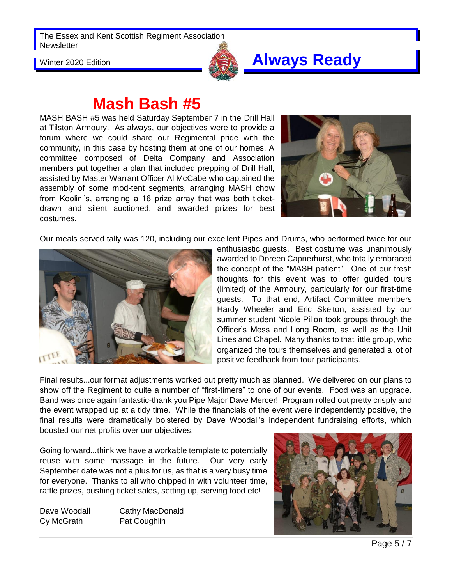

## Winter 2020 Edition **Always Ready**

## **Mash Bash #5**

MASH BASH #5 was held Saturday September 7 in the Drill Hall at Tilston Armoury. As always, our objectives were to provide a forum where we could share our Regimental pride with the community, in this case by hosting them at one of our homes. A committee composed of Delta Company and Association members put together a plan that included prepping of Drill Hall, assisted by Master Warrant Officer Al McCabe who captained the assembly of some mod-tent segments, arranging MASH chow from Koolini's, arranging a 16 prize array that was both ticketdrawn and silent auctioned, and awarded prizes for best costumes.



Our meals served tally was 120, including our excellent Pipes and Drums, who performed twice for our



enthusiastic guests. Best costume was unanimously awarded to Doreen Capnerhurst, who totally embraced the concept of the "MASH patient". One of our fresh thoughts for this event was to offer guided tours (limited) of the Armoury, particularly for our first-time guests. To that end, Artifact Committee members Hardy Wheeler and Eric Skelton, assisted by our summer student Nicole Pillon took groups through the Officer's Mess and Long Room, as well as the Unit Lines and Chapel. Many thanks to that little group, who organized the tours themselves and generated a lot of positive feedback from tour participants.

Final results...our format adjustments worked out pretty much as planned. We delivered on our plans to show off the Regiment to quite a number of "first-timers" to one of our events. Food was an upgrade. Band was once again fantastic-thank you Pipe Major Dave Mercer! Program rolled out pretty crisply and the event wrapped up at a tidy time. While the financials of the event were independently positive, the final results were dramatically bolstered by Dave Woodall's independent fundraising efforts, which boosted our net profits over our objectives.

Going forward...think we have a workable template to potentially reuse with some massage in the future. Our very early September date was not a plus for us, as that is a very busy time for everyone. Thanks to all who chipped in with volunteer time, raffle prizes, pushing ticket sales, setting up, serving food etc!

Cy McGrath Pat Coughlin

Dave Woodall Cathy MacDonald

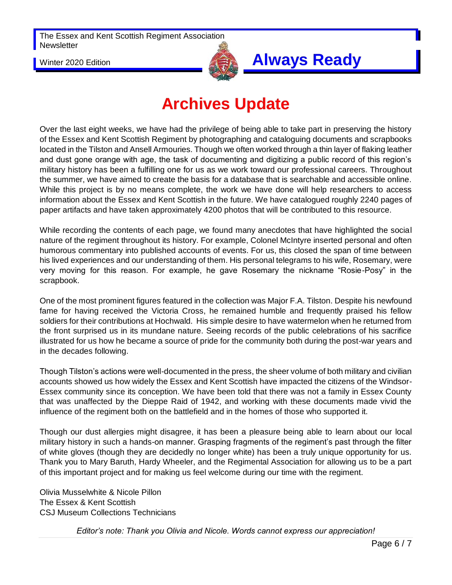

## Winter 2020 Edition **Always Ready**

# **Archives Update**

Over the last eight weeks, we have had the privilege of being able to take part in preserving the history of the Essex and Kent Scottish Regiment by photographing and cataloguing documents and scrapbooks located in the Tilston and Ansell Armouries. Though we often worked through a thin layer of flaking leather and dust gone orange with age, the task of documenting and digitizing a public record of this region's military history has been a fulfilling one for us as we work toward our professional careers. Throughout the summer, we have aimed to create the basis for a database that is searchable and accessible online. While this project is by no means complete, the work we have done will help researchers to access information about the Essex and Kent Scottish in the future. We have catalogued roughly 2240 pages of paper artifacts and have taken approximately 4200 photos that will be contributed to this resource.

While recording the contents of each page, we found many anecdotes that have highlighted the social nature of the regiment throughout its history. For example, Colonel McIntyre inserted personal and often humorous commentary into published accounts of events. For us, this closed the span of time between his lived experiences and our understanding of them. His personal telegrams to his wife, Rosemary, were very moving for this reason. For example, he gave Rosemary the nickname "Rosie-Posy" in the scrapbook.

One of the most prominent figures featured in the collection was Major F.A. Tilston. Despite his newfound fame for having received the Victoria Cross, he remained humble and frequently praised his fellow soldiers for their contributions at Hochwald. His simple desire to have watermelon when he returned from the front surprised us in its mundane nature. Seeing records of the public celebrations of his sacrifice illustrated for us how he became a source of pride for the community both during the post-war years and in the decades following.

Though Tilston's actions were well-documented in the press, the sheer volume of both military and civilian accounts showed us how widely the Essex and Kent Scottish have impacted the citizens of the Windsor-Essex community since its conception. We have been told that there was not a family in Essex County that was unaffected by the Dieppe Raid of 1942, and working with these documents made vivid the influence of the regiment both on the battlefield and in the homes of those who supported it.

Though our dust allergies might disagree, it has been a pleasure being able to learn about our local military history in such a hands-on manner. Grasping fragments of the regiment's past through the filter of white gloves (though they are decidedly no longer white) has been a truly unique opportunity for us. Thank you to Mary Baruth, Hardy Wheeler, and the Regimental Association for allowing us to be a part of this important project and for making us feel welcome during our time with the regiment.

Olivia Musselwhite & Nicole Pillon The Essex & Kent Scottish CSJ Museum Collections Technicians

*Editor's note: Thank you Olivia and Nicole. Words cannot express our appreciation!*